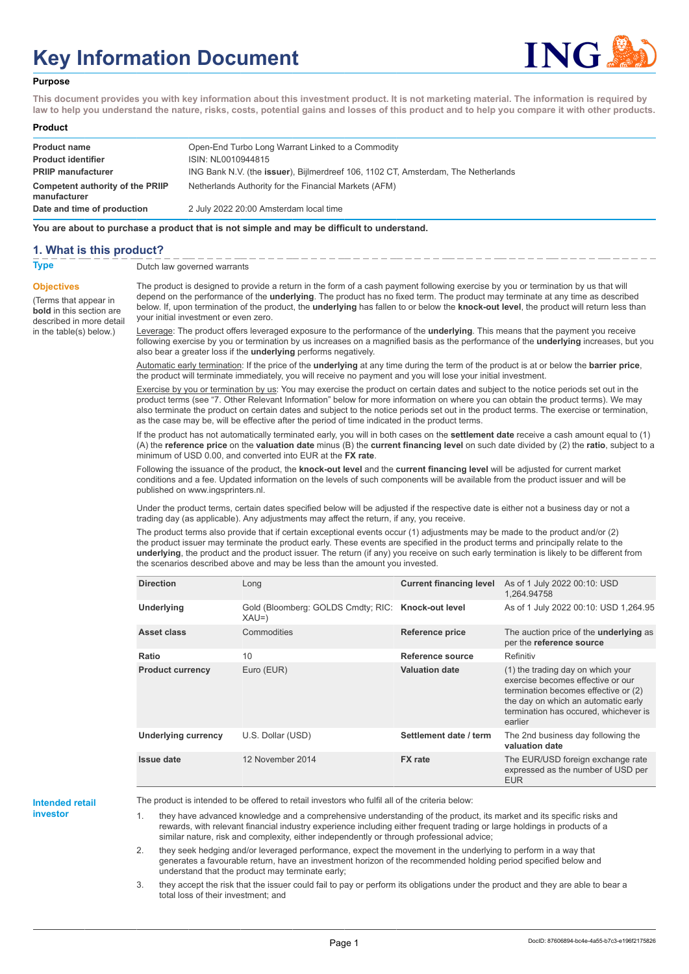# **Key Information Document**



#### **Purpose**

**This document provides you with key information about this investment product. It is not marketing material. The information is required by law to help you understand the nature, risks, costs, potential gains and losses of this product and to help you compare it with other products.**

#### **Product**

| <b>Product name</b><br><b>Product identifier</b> | Open-End Turbo Long Warrant Linked to a Commodity<br>ISIN: NL0010944815           |
|--------------------------------------------------|-----------------------------------------------------------------------------------|
| <b>PRIIP manufacturer</b>                        | ING Bank N.V. (the issuer), Bijlmerdreef 106, 1102 CT, Amsterdam, The Netherlands |
| Competent authority of the PRIIP<br>manufacturer | Netherlands Authority for the Financial Markets (AFM)                             |
| Date and time of production                      | 2 July 2022 20:00 Amsterdam local time                                            |

**You are about to purchase a product that is not simple and may be difficult to understand.**

## **1. What is this product?**

**Objectives**

(Terms that appear in **bold** in this section are

in the table(s) below.)

**Type** Dutch law governed warrants

described in more detail The product is designed to provide a return in the form of a cash payment following exercise by you or termination by us that will depend on the performance of the **underlying**. The product has no fixed term. The product may terminate at any time as described below. If, upon termination of the product, the **underlying** has fallen to or below the **knock-out level**, the product will return less than your initial investment or even zero.

> Leverage: The product offers leveraged exposure to the performance of the **underlying**. This means that the payment you receive following exercise by you or termination by us increases on a magnified basis as the performance of the **underlying** increases, but you also bear a greater loss if the **underlying** performs negatively.

Automatic early termination: If the price of the **underlying** at any time during the term of the product is at or below the **barrier price**, the product will terminate immediately, you will receive no payment and you will lose your initial investment.

Exercise by you or termination by us: You may exercise the product on certain dates and subject to the notice periods set out in the product terms (see "7. Other Relevant Information" below for more information on where you can obtain the product terms). We may also terminate the product on certain dates and subject to the notice periods set out in the product terms. The exercise or termination, as the case may be, will be effective after the period of time indicated in the product terms.

If the product has not automatically terminated early, you will in both cases on the **settlement date** receive a cash amount equal to (1) (A) the **reference price** on the **valuation date** minus (B) the **current financing level** on such date divided by (2) the **ratio**, subject to a minimum of USD 0.00, and converted into EUR at the **FX rate**.

Following the issuance of the product, the **knock-out level** and the **current financing level** will be adjusted for current market conditions and a fee. Updated information on the levels of such components will be available from the product issuer and will be published on www.ingsprinters.nl.

Under the product terms, certain dates specified below will be adjusted if the respective date is either not a business day or not a trading day (as applicable). Any adjustments may affect the return, if any, you receive.

The product terms also provide that if certain exceptional events occur (1) adjustments may be made to the product and/or (2) the product issuer may terminate the product early. These events are specified in the product terms and principally relate to the **underlying**, the product and the product issuer. The return (if any) you receive on such early termination is likely to be different from the scenarios described above and may be less than the amount you invested.

| <b>Direction</b>           | Long                                                         | <b>Current financing level</b> | As of 1 July 2022 00:10: USD<br>1,264.94758                                                                                                                                                               |
|----------------------------|--------------------------------------------------------------|--------------------------------|-----------------------------------------------------------------------------------------------------------------------------------------------------------------------------------------------------------|
| <b>Underlying</b>          | Gold (Bloomberg: GOLDS Cmdty; RIC: Knock-out level<br>$XAU=$ |                                | As of 1 July 2022 00:10: USD 1,264.95                                                                                                                                                                     |
| Asset class                | Commodities                                                  | Reference price                | The auction price of the <b>underlying</b> as<br>per the reference source                                                                                                                                 |
| Ratio                      | 10                                                           | Reference source               | Refinitiv                                                                                                                                                                                                 |
| <b>Product currency</b>    | Euro (EUR)                                                   | <b>Valuation date</b>          | (1) the trading day on which your<br>exercise becomes effective or our<br>termination becomes effective or (2)<br>the day on which an automatic early<br>termination has occured, whichever is<br>earlier |
| <b>Underlying currency</b> | U.S. Dollar (USD)                                            | Settlement date / term         | The 2nd business day following the<br>valuation date                                                                                                                                                      |
| <b>Issue date</b>          | 12 November 2014                                             | <b>FX</b> rate                 | The EUR/USD foreign exchange rate<br>expressed as the number of USD per<br><b>EUR</b>                                                                                                                     |

# **Intended retail**

**investor**

The product is intended to be offered to retail investors who fulfil all of the criteria below:

1. they have advanced knowledge and a comprehensive understanding of the product, its market and its specific risks and rewards, with relevant financial industry experience including either frequent trading or large holdings in products of a similar nature, risk and complexity, either independently or through professional advice;

2. they seek hedging and/or leveraged performance, expect the movement in the underlying to perform in a way that generates a favourable return, have an investment horizon of the recommended holding period specified below and understand that the product may terminate early;

3. they accept the risk that the issuer could fail to pay or perform its obligations under the product and they are able to bear a total loss of their investment; and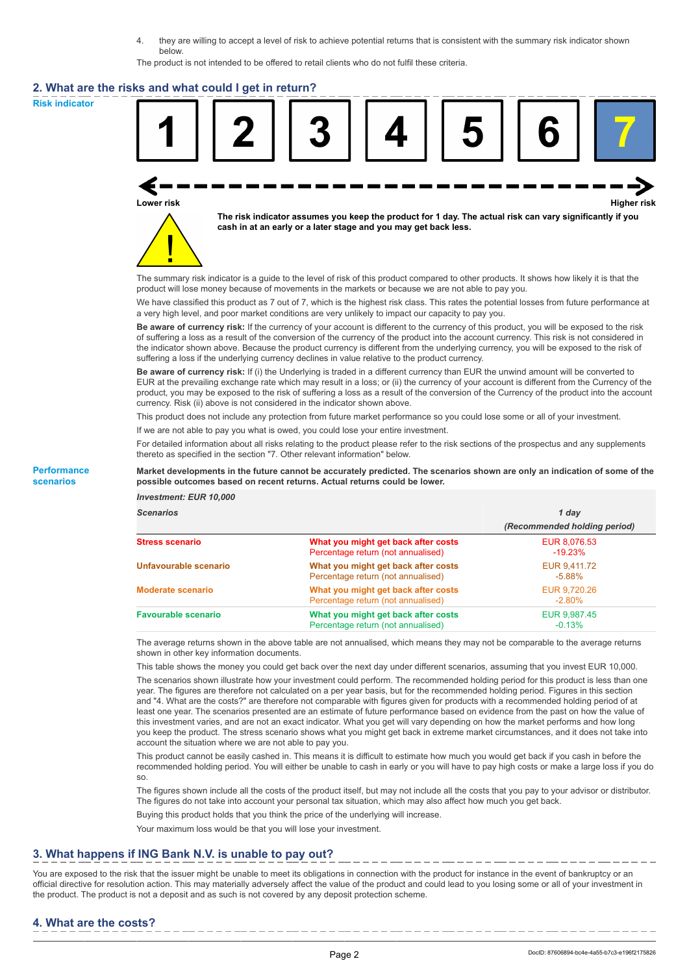4. they are willing to accept a level of risk to achieve potential returns that is consistent with the summary risk indicator shown below.

The product is not intended to be offered to retail clients who do not fulfil these criteria.

#### **2. What are the risks and what could I get in return?**

**Risk indicator**



**Lower risk Higher risk**



**The risk indicator assumes you keep the product for 1 day. The actual risk can vary significantly if you cash in at an early or a later stage and you may get back less.**

The summary risk indicator is a guide to the level of risk of this product compared to other products. It shows how likely it is that the product will lose money because of movements in the markets or because we are not able to pay you.

We have classified this product as 7 out of 7, which is the highest risk class. This rates the potential losses from future performance at a very high level, and poor market conditions are very unlikely to impact our capacity to pay you.

**Be aware of currency risk:** If the currency of your account is different to the currency of this product, you will be exposed to the risk of suffering a loss as a result of the conversion of the currency of the product into the account currency. This risk is not considered in the indicator shown above. Because the product currency is different from the underlying currency, you will be exposed to the risk of suffering a loss if the underlying currency declines in value relative to the product currency.

**Be aware of currency risk:** If (i) the Underlying is traded in a different currency than EUR the unwind amount will be converted to EUR at the prevailing exchange rate which may result in a loss; or (ii) the currency of your account is different from the Currency of the product, you may be exposed to the risk of suffering a loss as a result of the conversion of the Currency of the product into the account currency. Risk (ii) above is not considered in the indicator shown above.

This product does not include any protection from future market performance so you could lose some or all of your investment.

If we are not able to pay you what is owed, you could lose your entire investment.

For detailed information about all risks relating to the product please refer to the risk sections of the prospectus and any supplements thereto as specified in the section "7. Other relevant information" below.

**Market developments in the future cannot be accurately predicted. The scenarios shown are only an indication of some of the possible outcomes based on recent returns. Actual returns could be lower.**

#### **Performance scenarios**

*Investment: EUR 10,000*

| <b>Scenarios</b>           |                                                                           | 1 dav                        |  |
|----------------------------|---------------------------------------------------------------------------|------------------------------|--|
|                            |                                                                           | (Recommended holding period) |  |
| <b>Stress scenario</b>     | What you might get back after costs<br>Percentage return (not annualised) | EUR 8,076.53<br>$-19.23%$    |  |
| Unfavourable scenario      | What you might get back after costs<br>Percentage return (not annualised) | EUR 9,411.72<br>$-5.88\%$    |  |
| <b>Moderate scenario</b>   | What you might get back after costs<br>Percentage return (not annualised) | EUR 9,720.26<br>$-2.80\%$    |  |
| <b>Favourable scenario</b> | What you might get back after costs<br>Percentage return (not annualised) | EUR 9,987.45<br>$-0.13%$     |  |

The average returns shown in the above table are not annualised, which means they may not be comparable to the average returns shown in other key information documents.

This table shows the money you could get back over the next day under different scenarios, assuming that you invest EUR 10,000.

The scenarios shown illustrate how your investment could perform. The recommended holding period for this product is less than one year. The figures are therefore not calculated on a per year basis, but for the recommended holding period. Figures in this section and "4. What are the costs?" are therefore not comparable with figures given for products with a recommended holding period of at least one year. The scenarios presented are an estimate of future performance based on evidence from the past on how the value of this investment varies, and are not an exact indicator. What you get will vary depending on how the market performs and how long you keep the product. The stress scenario shows what you might get back in extreme market circumstances, and it does not take into account the situation where we are not able to pay you.

This product cannot be easily cashed in. This means it is difficult to estimate how much you would get back if you cash in before the recommended holding period. You will either be unable to cash in early or you will have to pay high costs or make a large loss if you do so.

The figures shown include all the costs of the product itself, but may not include all the costs that you pay to your advisor or distributor. The figures do not take into account your personal tax situation, which may also affect how much you get back.

Buying this product holds that you think the price of the underlying will increase.

Your maximum loss would be that you will lose your investment.

## **3. What happens if ING Bank N.V. is unable to pay out?**

You are exposed to the risk that the issuer might be unable to meet its obligations in connection with the product for instance in the event of bankruptcy or an official directive for resolution action. This may materially adversely affect the value of the product and could lead to you losing some or all of your investment in the product. The product is not a deposit and as such is not covered by any deposit protection scheme.